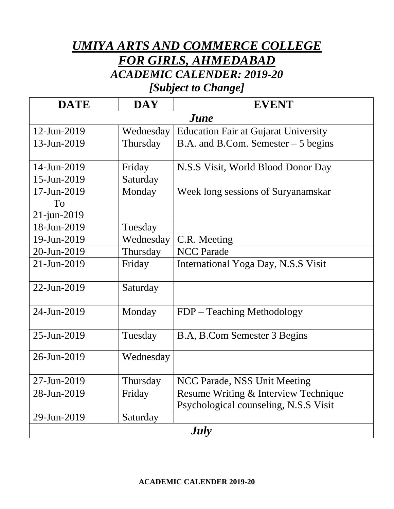## *UMIYA ARTS AND COMMERCE COLLEGE FOR GIRLS, AHMEDABAD ACADEMIC CALENDER: 2019-20*

*[Subject to Change]*

| <b>DATE</b>        | <b>DAY</b> | <b>EVENT</b>                                |  |
|--------------------|------------|---------------------------------------------|--|
| <b><i>June</i></b> |            |                                             |  |
| 12-Jun-2019        | Wednesday  | <b>Education Fair at Gujarat University</b> |  |
| 13-Jun-2019        | Thursday   | B.A. and B.Com. Semester $-5$ begins        |  |
|                    |            |                                             |  |
| 14-Jun-2019        | Friday     | N.S.S Visit, World Blood Donor Day          |  |
| 15-Jun-2019        | Saturday   |                                             |  |
| 17-Jun-2019        | Monday     | Week long sessions of Suryanamskar          |  |
| To                 |            |                                             |  |
| $21$ -jun-2019     |            |                                             |  |
| 18-Jun-2019        | Tuesday    |                                             |  |
| 19-Jun-2019        | Wednesday  | C.R. Meeting                                |  |
| 20-Jun-2019        | Thursday   | <b>NCC Parade</b>                           |  |
| 21-Jun-2019        | Friday     | International Yoga Day, N.S.S Visit         |  |
|                    |            |                                             |  |
| 22-Jun-2019        | Saturday   |                                             |  |
|                    |            |                                             |  |
| 24-Jun-2019        | Monday     | FDP - Teaching Methodology                  |  |
|                    |            |                                             |  |
| 25-Jun-2019        | Tuesday    | B.A, B.Com Semester 3 Begins                |  |
| 26-Jun-2019        | Wednesday  |                                             |  |
|                    |            |                                             |  |
| 27-Jun-2019        | Thursday   | NCC Parade, NSS Unit Meeting                |  |
| 28-Jun-2019        | Friday     | Resume Writing & Interview Technique        |  |
|                    |            | Psychological counseling, N.S.S Visit       |  |
| 29-Jun-2019        | Saturday   |                                             |  |
| <b>July</b>        |            |                                             |  |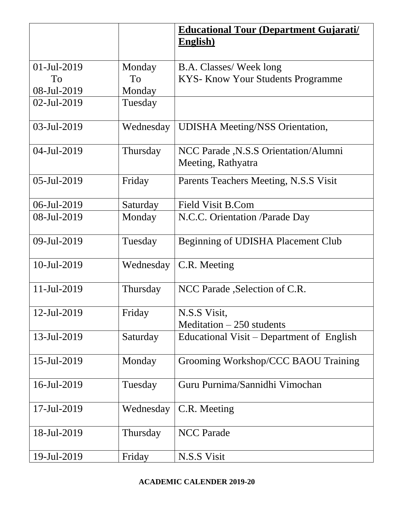|             |           | <b>Educational Tour (Department Gujarati/</b> |
|-------------|-----------|-----------------------------------------------|
|             |           | <b>English</b> )                              |
|             |           |                                               |
| 01-Jul-2019 | Monday    | <b>B.A. Classes/Week long</b>                 |
| To          | To        | <b>KYS- Know Your Students Programme</b>      |
| 08-Jul-2019 | Monday    |                                               |
| 02-Jul-2019 | Tuesday   |                                               |
| 03-Jul-2019 | Wednesday | <b>UDISHA Meeting/NSS Orientation,</b>        |
| 04-Jul-2019 | Thursday  | NCC Parade , N.S.S Orientation/Alumni         |
|             |           | Meeting, Rathyatra                            |
| 05-Jul-2019 | Friday    | Parents Teachers Meeting, N.S.S Visit         |
| 06-Jul-2019 | Saturday  | <b>Field Visit B.Com</b>                      |
| 08-Jul-2019 | Monday    | N.C.C. Orientation /Parade Day                |
| 09-Jul-2019 | Tuesday   | Beginning of UDISHA Placement Club            |
| 10-Jul-2019 | Wednesday | C.R. Meeting                                  |
| 11-Jul-2019 | Thursday  | NCC Parade , Selection of C.R.                |
| 12-Jul-2019 | Friday    | N.S.S Visit,                                  |
|             |           | Meditation $-250$ students                    |
| 13-Jul-2019 | Saturday  | Educational Visit – Department of English     |
| 15-Jul-2019 | Monday    | Grooming Workshop/CCC BAOU Training           |
| 16-Jul-2019 | Tuesday   | Guru Purnima/Sannidhi Vimochan                |
| 17-Jul-2019 | Wednesday | C.R. Meeting                                  |
| 18-Jul-2019 | Thursday  | <b>NCC Parade</b>                             |
| 19-Jul-2019 | Friday    | N.S.S Visit                                   |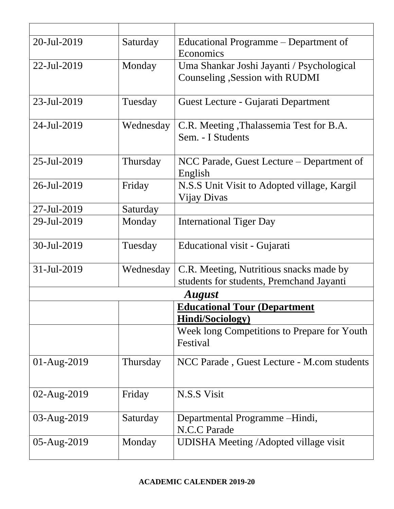| 20-Jul-2019   | Saturday  | Educational Programme – Department of<br>Economics                                  |
|---------------|-----------|-------------------------------------------------------------------------------------|
| 22-Jul-2019   | Monday    | Uma Shankar Joshi Jayanti / Psychological<br>Counseling , Session with RUDMI        |
| 23-Jul-2019   | Tuesday   | Guest Lecture - Gujarati Department                                                 |
| 24-Jul-2019   | Wednesday | C.R. Meeting, Thalassemia Test for B.A.<br>Sem. - I Students                        |
| 25-Jul-2019   | Thursday  | NCC Parade, Guest Lecture – Department of<br>English                                |
| 26-Jul-2019   | Friday    | N.S.S Unit Visit to Adopted village, Kargil<br>Vijay Divas                          |
| 27-Jul-2019   | Saturday  |                                                                                     |
| 29-Jul-2019   | Monday    | <b>International Tiger Day</b>                                                      |
| 30-Jul-2019   | Tuesday   | Educational visit - Gujarati                                                        |
| 31-Jul-2019   | Wednesday | C.R. Meeting, Nutritious snacks made by<br>students for students, Premchand Jayanti |
| <b>August</b> |           |                                                                                     |
|               |           | <b>Educational Tour (Department)</b><br><b>Hindi/Sociology)</b>                     |
|               |           | Week long Competitions to Prepare for Youth<br>Festival                             |
| $01-Aug-2019$ | Thursday  | NCC Parade, Guest Lecture - M.com students                                          |
| 02-Aug-2019   | Friday    | N.S.S Visit                                                                         |
| 03-Aug-2019   | Saturday  | Departmental Programme -Hindi,<br>N.C.C Parade                                      |
| 05-Aug-2019   | Monday    | <b>UDISHA Meeting /Adopted village visit</b>                                        |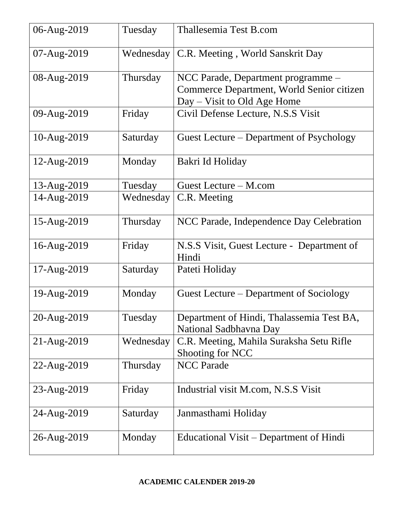| 06-Aug-2019            | Tuesday   | Thallesemia Test B.com                                                                                           |
|------------------------|-----------|------------------------------------------------------------------------------------------------------------------|
| $07 - \text{Aug-}2019$ | Wednesday | C.R. Meeting, World Sanskrit Day                                                                                 |
| 08-Aug-2019            | Thursday  | NCC Parade, Department programme –<br>Commerce Department, World Senior citizen<br>$Day - Visit$ to Old Age Home |
| 09-Aug-2019            | Friday    | Civil Defense Lecture, N.S.S Visit                                                                               |
| 10-Aug-2019            | Saturday  | Guest Lecture – Department of Psychology                                                                         |
| 12-Aug-2019            | Monday    | Bakri Id Holiday                                                                                                 |
| 13-Aug-2019            | Tuesday   | Guest Lecture – M.com                                                                                            |
| 14-Aug-2019            | Wednesday | C.R. Meeting                                                                                                     |
| 15-Aug-2019            | Thursday  | NCC Parade, Independence Day Celebration                                                                         |
| 16-Aug-2019            | Friday    | N.S.S Visit, Guest Lecture - Department of<br>Hindi                                                              |
| 17-Aug-2019            | Saturday  | Pateti Holiday                                                                                                   |
| 19-Aug-2019            | Monday    | Guest Lecture – Department of Sociology                                                                          |
| 20-Aug-2019            | Tuesday   | Department of Hindi, Thalassemia Test BA,<br>National Sadbhavna Day                                              |
| 21-Aug-2019            | Wednesday | C.R. Meeting, Mahila Suraksha Setu Rifle<br>Shooting for NCC                                                     |
| 22-Aug-2019            | Thursday  | <b>NCC Parade</b>                                                                                                |
| 23-Aug-2019            | Friday    | Industrial visit M.com, N.S.S Visit                                                                              |
| 24-Aug-2019            | Saturday  | Janmasthami Holiday                                                                                              |
| 26-Aug-2019            | Monday    | Educational Visit – Department of Hindi                                                                          |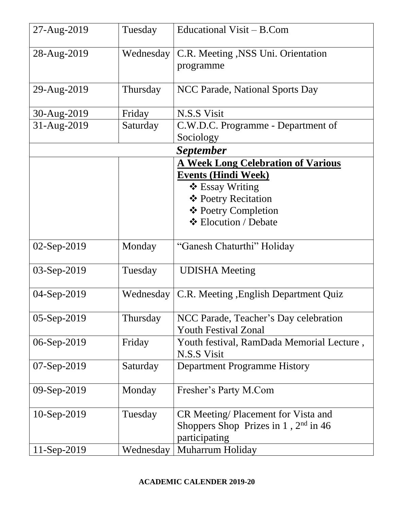| 27-Aug-2019   | Tuesday   | Educational Visit - B.Com                   |
|---------------|-----------|---------------------------------------------|
| 28-Aug-2019   | Wednesday | C.R. Meeting , NSS Uni. Orientation         |
|               |           | programme                                   |
|               |           |                                             |
| 29-Aug-2019   | Thursday  | NCC Parade, National Sports Day             |
|               |           |                                             |
| 30-Aug-2019   | Friday    | N.S.S Visit                                 |
| 31-Aug-2019   | Saturday  | C.W.D.C. Programme - Department of          |
|               |           | Sociology                                   |
|               |           | <i>September</i>                            |
|               |           | <b>A Week Long Celebration of Various</b>   |
|               |           | <b>Events (Hindi Week)</b>                  |
|               |           | $\div$ Essay Writing                        |
|               |           | ❖ Poetry Recitation                         |
|               |           | ❖ Poetry Completion<br>❖ Elocution / Debate |
|               |           |                                             |
| 02-Sep-2019   | Monday    | "Ganesh Chaturthi" Holiday                  |
| 03-Sep-2019   | Tuesday   | <b>UDISHA</b> Meeting                       |
| 04-Sep-2019   | Wednesday | C.R. Meeting , English Department Quiz      |
| 05-Sep-2019   | Thursday  | NCC Parade, Teacher's Day celebration       |
|               |           | <b>Youth Festival Zonal</b>                 |
| 06-Sep-2019   | Friday    | Youth festival, RamDada Memorial Lecture,   |
|               |           | N.S.S Visit                                 |
| 07-Sep-2019   | Saturday  | <b>Department Programme History</b>         |
| $09-Sep-2019$ | Monday    | Fresher's Party M.Com                       |
|               |           |                                             |
| $10-Sep-2019$ | Tuesday   | CR Meeting/ Placement for Vista and         |
|               |           | Shoppers Shop Prizes in 1, $2nd$ in 46      |
|               |           | participating                               |
| $11-Sep-2019$ | Wednesday | Muharrum Holiday                            |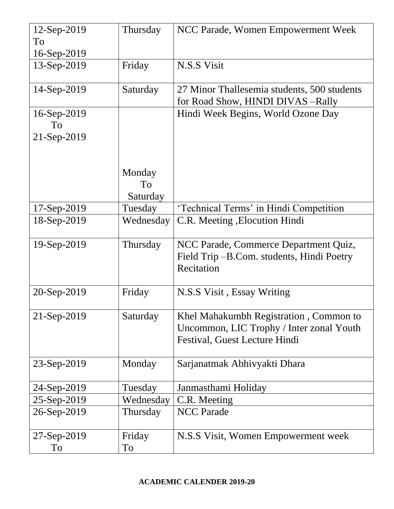| 12-Sep-2019    | Thursday  | NCC Parade, Women Empowerment Week          |
|----------------|-----------|---------------------------------------------|
| To             |           |                                             |
| $16-Sep-2019$  |           |                                             |
| 13-Sep-2019    | Friday    | N.S.S Visit                                 |
| $14-Sep-2019$  | Saturday  | 27 Minor Thallesemia students, 500 students |
|                |           | for Road Show, HINDI DIVAS -Rally           |
| $16$ -Sep-2019 |           | Hindi Week Begins, World Ozone Day          |
| To             |           |                                             |
| 21-Sep-2019    |           |                                             |
|                |           |                                             |
|                |           |                                             |
|                | Monday    |                                             |
|                | To        |                                             |
|                | Saturday  |                                             |
| $17-Sep-2019$  | Tuesday   | 'Technical Terms' in Hindi Competition      |
| 18-Sep-2019    | Wednesday | C.R. Meeting, Elocution Hindi               |
| 19-Sep-2019    | Thursday  | NCC Parade, Commerce Department Quiz,       |
|                |           | Field Trip – B.Com. students, Hindi Poetry  |
|                |           | Recitation                                  |
|                |           |                                             |
| 20-Sep-2019    | Friday    | N.S.S Visit, Essay Writing                  |
|                |           |                                             |
| 21-Sep-2019    | Saturday  | Khel Mahakumbh Registration, Common to      |
|                |           | Uncommon, LIC Trophy / Inter zonal Youth    |
|                |           | Festival, Guest Lecture Hindi               |
|                |           |                                             |
| 23-Sep-2019    | Monday    | Sarjanatmak Abhivyakti Dhara                |
|                |           |                                             |
| 24-Sep-2019    | Tuesday   | Janmasthami Holiday                         |
| 25-Sep-2019    | Wednesday | C.R. Meeting                                |
| 26-Sep-2019    | Thursday  | <b>NCC</b> Parade                           |
| 27-Sep-2019    | Friday    | N.S.S Visit, Women Empowerment week         |
| To             | To        |                                             |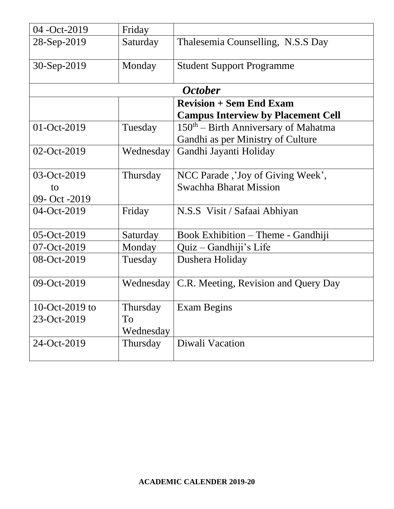| 04 - Oct-2019  | Friday    |                                           |
|----------------|-----------|-------------------------------------------|
| 28-Sep-2019    | Saturday  | Thalesemia Counselling, N.S.S Day         |
| 30-Sep-2019    | Monday    | <b>Student Support Programme</b>          |
|                |           | <b>October</b>                            |
|                |           | <b>Revision + Sem End Exam</b>            |
|                |           | <b>Campus Interview by Placement Cell</b> |
| 01-Oct-2019    | Tuesday   | $150th$ – Birth Anniversary of Mahatma    |
|                |           | Gandhi as per Ministry of Culture         |
| 02-Oct-2019    | Wednesday | Gandhi Jayanti Holiday                    |
| 03-Oct-2019    | Thursday  | NCC Parade, 'Joy of Giving Week',         |
| to             |           | <b>Swachha Bharat Mission</b>             |
| 09- Oct -2019  |           |                                           |
| 04-Oct-2019    | Friday    | N.S.S Visit / Safaai Abhiyan              |
| 05-Oct-2019    | Saturday  | Book Exhibition – Theme - Gandhiji        |
| 07-Oct-2019    | Monday    | Quiz - Gandhiji's Life                    |
| 08-Oct-2019    | Tuesday   | Dushera Holiday                           |
| 09-Oct-2019    | Wednesday | C.R. Meeting, Revision and Query Day      |
| 10-Oct-2019 to | Thursday  | Exam Begins                               |
| 23-Oct-2019    | To        |                                           |
|                | Wednesday |                                           |
| 24-Oct-2019    | Thursday  | Diwali Vacation                           |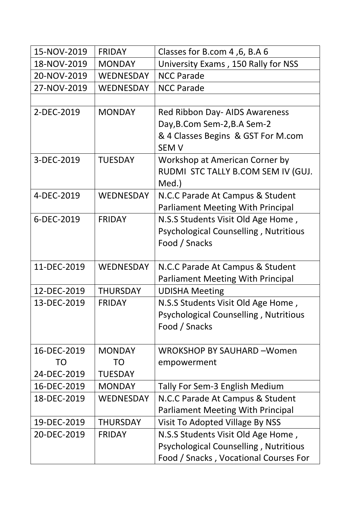| 15-NOV-2019 | <b>FRIDAY</b>    | Classes for B.com 4, 6, B.A 6                |
|-------------|------------------|----------------------------------------------|
| 18-NOV-2019 | <b>MONDAY</b>    | University Exams, 150 Rally for NSS          |
| 20-NOV-2019 | WEDNESDAY        | <b>NCC Parade</b>                            |
| 27-NOV-2019 | <b>WEDNESDAY</b> | <b>NCC Parade</b>                            |
|             |                  |                                              |
| 2-DEC-2019  | <b>MONDAY</b>    | Red Ribbon Day- AIDS Awareness               |
|             |                  | Day, B.Com Sem-2, B.A Sem-2                  |
|             |                  | & 4 Classes Begins & GST For M.com           |
|             |                  | <b>SEM V</b>                                 |
| 3-DEC-2019  | <b>TUESDAY</b>   | Workshop at American Corner by               |
|             |                  | RUDMI STC TALLY B.COM SEM IV (GUJ.           |
|             |                  | Med.)                                        |
| 4-DEC-2019  | WEDNESDAY        | N.C.C Parade At Campus & Student             |
|             |                  | <b>Parliament Meeting With Principal</b>     |
| 6-DEC-2019  | <b>FRIDAY</b>    | N.S.S Students Visit Old Age Home,           |
|             |                  | <b>Psychological Counselling, Nutritious</b> |
|             |                  | Food / Snacks                                |
|             |                  |                                              |
| 11-DEC-2019 | <b>WEDNESDAY</b> | N.C.C Parade At Campus & Student             |
|             |                  | <b>Parliament Meeting With Principal</b>     |
| 12-DEC-2019 | <b>THURSDAY</b>  | <b>UDISHA Meeting</b>                        |
| 13-DEC-2019 | <b>FRIDAY</b>    | N.S.S Students Visit Old Age Home,           |
|             |                  | <b>Psychological Counselling, Nutritious</b> |
|             |                  | Food / Snacks                                |
|             |                  |                                              |
| 16-DEC-2019 | <b>MONDAY</b>    | <b>WROKSHOP BY SAUHARD -Women</b>            |
| TO          | TO               | empowerment                                  |
| 24-DEC-2019 | <b>TUESDAY</b>   |                                              |
| 16-DEC-2019 | <b>MONDAY</b>    | Tally For Sem-3 English Medium               |
| 18-DEC-2019 | WEDNESDAY        | N.C.C Parade At Campus & Student             |
|             |                  | <b>Parliament Meeting With Principal</b>     |
| 19-DEC-2019 | <b>THURSDAY</b>  | Visit To Adopted Village By NSS              |
| 20-DEC-2019 | <b>FRIDAY</b>    | N.S.S Students Visit Old Age Home,           |
|             |                  | <b>Psychological Counselling, Nutritious</b> |
|             |                  | Food / Snacks, Vocational Courses For        |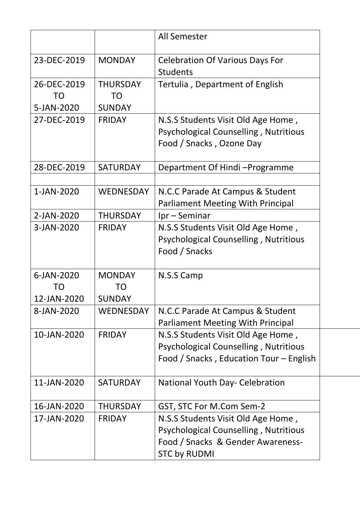|                                 |                                               | All Semester                                                                                                                                   |  |
|---------------------------------|-----------------------------------------------|------------------------------------------------------------------------------------------------------------------------------------------------|--|
| 23-DEC-2019                     | <b>MONDAY</b>                                 | <b>Celebration Of Various Days For</b><br><b>Students</b>                                                                                      |  |
| 26-DEC-2019<br>TO<br>5-JAN-2020 | <b>THURSDAY</b><br><b>TO</b><br><b>SUNDAY</b> | Tertulia, Department of English                                                                                                                |  |
| 27-DEC-2019                     | <b>FRIDAY</b>                                 | N.S.S Students Visit Old Age Home,<br><b>Psychological Counselling, Nutritious</b><br>Food / Snacks, Ozone Day                                 |  |
| 28-DEC-2019                     | <b>SATURDAY</b>                               | Department Of Hindi-Programme                                                                                                                  |  |
| 1-JAN-2020                      | <b>WEDNESDAY</b>                              | N.C.C Parade At Campus & Student<br><b>Parliament Meeting With Principal</b>                                                                   |  |
| 2-JAN-2020                      | <b>THURSDAY</b>                               | $Ipr-Seminar$                                                                                                                                  |  |
| 3-JAN-2020                      | <b>FRIDAY</b>                                 | N.S.S Students Visit Old Age Home,<br><b>Psychological Counselling, Nutritious</b><br>Food / Snacks                                            |  |
| 6-JAN-2020<br>TO<br>12-JAN-2020 | <b>MONDAY</b><br>TO<br><b>SUNDAY</b>          | N.S.S Camp                                                                                                                                     |  |
| 8-JAN-2020                      | <b>WEDNESDAY</b>                              | N.C.C Parade At Campus & Student<br><b>Parliament Meeting With Principal</b>                                                                   |  |
| 10-JAN-2020                     | <b>FRIDAY</b>                                 | N.S.S Students Visit Old Age Home,<br><b>Psychological Counselling, Nutritious</b><br>Food / Snacks, Education Tour - English                  |  |
| 11-JAN-2020                     | <b>SATURDAY</b>                               | <b>National Youth Day- Celebration</b>                                                                                                         |  |
| 16-JAN-2020                     | <b>THURSDAY</b>                               | GST, STC For M.Com Sem-2                                                                                                                       |  |
| 17-JAN-2020                     | <b>FRIDAY</b>                                 | N.S.S Students Visit Old Age Home,<br><b>Psychological Counselling, Nutritious</b><br>Food / Snacks & Gender Awareness-<br><b>STC by RUDMI</b> |  |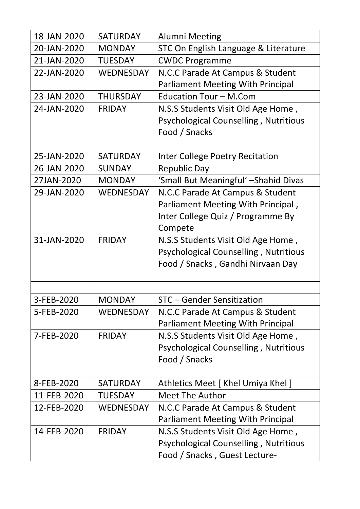| 18-JAN-2020 | <b>SATURDAY</b>  | <b>Alumni Meeting</b>                        |
|-------------|------------------|----------------------------------------------|
| 20-JAN-2020 | <b>MONDAY</b>    | STC On English Language & Literature         |
| 21-JAN-2020 | <b>TUESDAY</b>   | <b>CWDC Programme</b>                        |
| 22-JAN-2020 | <b>WEDNESDAY</b> | N.C.C Parade At Campus & Student             |
|             |                  | <b>Parliament Meeting With Principal</b>     |
| 23-JAN-2020 | <b>THURSDAY</b>  | <b>Education Tour - M.Com</b>                |
| 24-JAN-2020 | <b>FRIDAY</b>    | N.S.S Students Visit Old Age Home,           |
|             |                  | <b>Psychological Counselling, Nutritious</b> |
|             |                  | Food / Snacks                                |
|             |                  |                                              |
| 25-JAN-2020 | <b>SATURDAY</b>  | <b>Inter College Poetry Recitation</b>       |
| 26-JAN-2020 | <b>SUNDAY</b>    | <b>Republic Day</b>                          |
| 27JAN-2020  | <b>MONDAY</b>    | 'Small But Meaningful' - Shahid Divas        |
| 29-JAN-2020 | <b>WEDNESDAY</b> | N.C.C Parade At Campus & Student             |
|             |                  | Parliament Meeting With Principal,           |
|             |                  | Inter College Quiz / Programme By            |
|             |                  | Compete                                      |
| 31-JAN-2020 | <b>FRIDAY</b>    | N.S.S Students Visit Old Age Home,           |
|             |                  | <b>Psychological Counselling, Nutritious</b> |
|             |                  | Food / Snacks, Gandhi Nirvaan Day            |
|             |                  |                                              |
| 3-FEB-2020  | <b>MONDAY</b>    | <b>STC</b> - Gender Sensitization            |
| 5-FEB-2020  | WEDNESDAY        | N.C.C Parade At Campus & Student             |
|             |                  | <b>Parliament Meeting With Principal</b>     |
| 7-FEB-2020  | <b>FRIDAY</b>    | N.S.S Students Visit Old Age Home,           |
|             |                  | <b>Psychological Counselling, Nutritious</b> |
|             |                  | Food / Snacks                                |
|             |                  |                                              |
| 8-FEB-2020  | <b>SATURDAY</b>  | Athletics Meet [ Khel Umiya Khel ]           |
| 11-FEB-2020 | <b>TUESDAY</b>   | <b>Meet The Author</b>                       |
| 12-FEB-2020 | <b>WEDNESDAY</b> | N.C.C Parade At Campus & Student             |
|             |                  | <b>Parliament Meeting With Principal</b>     |
| 14-FEB-2020 | <b>FRIDAY</b>    | N.S.S Students Visit Old Age Home,           |
|             |                  | <b>Psychological Counselling, Nutritious</b> |
|             |                  | Food / Snacks, Guest Lecture-                |